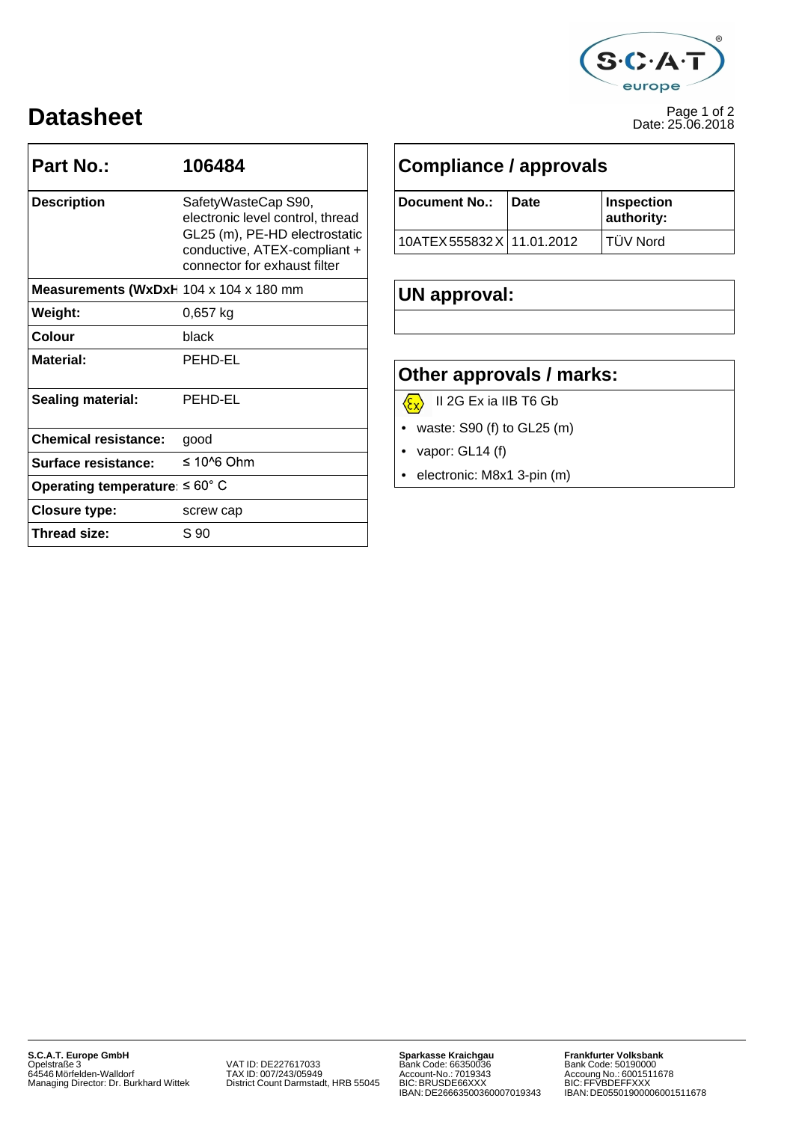

## Page 1 of 2 **Datasheet** Date: 25.06.2018

| <b>Part No.:</b>                           | 106484                                                                                        | <b>Compliance / approvals</b>                                                                                                                                                              |      |                          |  |  |
|--------------------------------------------|-----------------------------------------------------------------------------------------------|--------------------------------------------------------------------------------------------------------------------------------------------------------------------------------------------|------|--------------------------|--|--|
| <b>Description</b>                         | SafetyWasteCap S90,<br>electronic level control, thread                                       | <b>Document No.:</b>                                                                                                                                                                       | Date | Inspection<br>authority: |  |  |
|                                            | GL25 (m), PE-HD electrostatic<br>conductive, ATEX-compliant +<br>connector for exhaust filter | 10ATEX 555832 X 11.01.2012                                                                                                                                                                 |      | TÜV Nord                 |  |  |
| Measurements (WxDxH 104 x 104 x 180 mm     |                                                                                               | UN approval:                                                                                                                                                                               |      |                          |  |  |
| Weight:                                    | $0,657$ kg                                                                                    |                                                                                                                                                                                            |      |                          |  |  |
| <b>Colour</b>                              | black                                                                                         |                                                                                                                                                                                            |      |                          |  |  |
| <b>Material:</b>                           | PEHD-EL                                                                                       | Other approvals / marks:<br>II 2G Ex ia IIB T6 Gb<br>$\langle \xi_{\rm X} \rangle$<br>waste: $S90$ (f) to $GL25$ (m)<br>$\bullet$<br>• vapor: $GL14(f)$<br>electronic: M8x1 3-pin (m)<br>٠ |      |                          |  |  |
| <b>Sealing material:</b>                   | PEHD-EL                                                                                       |                                                                                                                                                                                            |      |                          |  |  |
| <b>Chemical resistance:</b>                | good                                                                                          |                                                                                                                                                                                            |      |                          |  |  |
| Surface resistance:                        | $\leq 10^{6}$ Ohm                                                                             |                                                                                                                                                                                            |      |                          |  |  |
| Operating temperature: $\leq 60^{\circ}$ C |                                                                                               |                                                                                                                                                                                            |      |                          |  |  |
| <b>Closure type:</b>                       | screw cap                                                                                     |                                                                                                                                                                                            |      |                          |  |  |
| Thread size:                               | S 90                                                                                          |                                                                                                                                                                                            |      |                          |  |  |

| SafetyWasteCap S90,              |  | Document No.:              | ⊥Date | ∣Inspection     |
|----------------------------------|--|----------------------------|-------|-----------------|
| electronic level control, thread |  |                            |       | authority:      |
| GL25 (m), PE-HD electrostatic    |  | 10ATEX 555832 X 11.01.2012 |       | <b>TUV Nord</b> |
| conductive, ATEX-compliant +     |  |                            |       |                 |

### **Other approvals / marks:**

- 
- waste: S90 (f) to GL25 (m)
- vapor: GL14 (f)
- electronic: M8x1 3-pin (m)